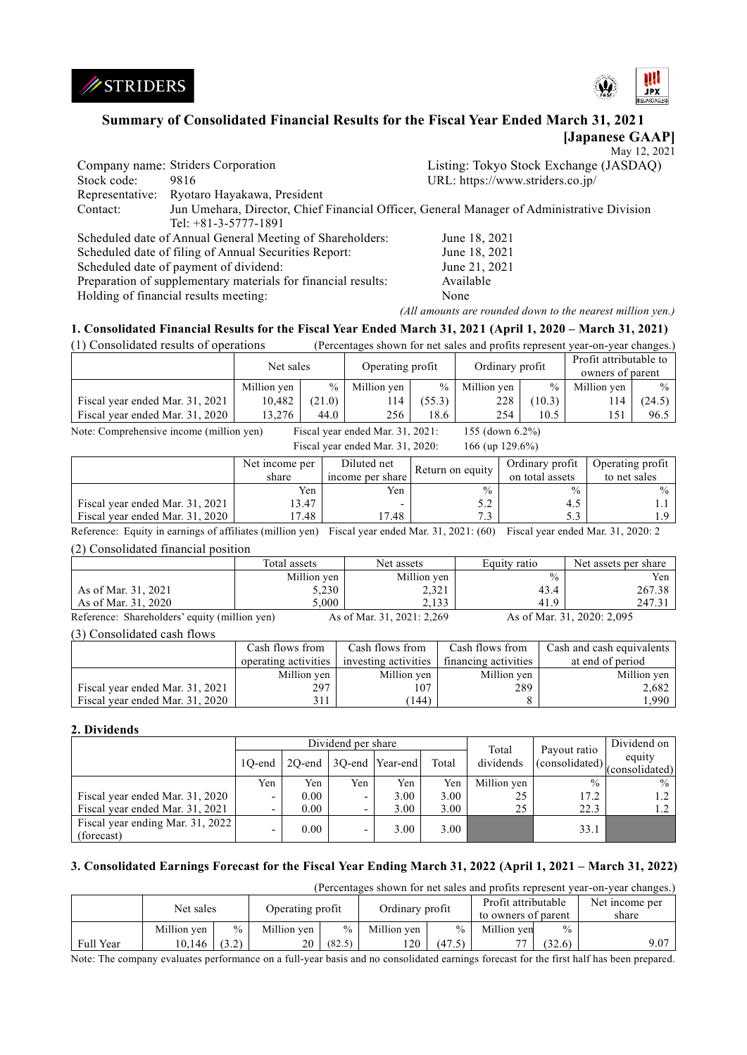



# **Summary of Consolidated Financial Results for the Fiscal Year Ended March 31, 2021**

**[Japanese GAAP]** May 12, 2021

|             |                                                                                            | $1$ via y $1 \leq x \leq 0$            |
|-------------|--------------------------------------------------------------------------------------------|----------------------------------------|
|             | Company name: Striders Corporation                                                         | Listing: Tokyo Stock Exchange (JASDAQ) |
| Stock code: | 9816                                                                                       | URL: https://www.striders.co.jp/       |
|             | Representative: Ryotaro Hayakawa, President                                                |                                        |
| Contact:    | Jun Umehara, Director, Chief Financial Officer, General Manager of Administrative Division |                                        |
|             | Tel: $+81-3-5777-1891$                                                                     |                                        |
|             | Scheduled date of Annual General Meeting of Shareholders:                                  | June 18, 2021                          |
|             | Scheduled date of filing of Annual Securities Report:                                      | June 18, 2021                          |
|             | Scheduled date of payment of dividend:                                                     | June 21, 2021                          |
|             | Preparation of supplementary materials for financial results:                              | Available                              |
|             | Holding of financial results meeting:                                                      | None                                   |

*(All amounts are rounded down to the nearest million yen.)*

## **1. Consolidated Financial Results for the Fiscal Year Ended March 31, 2021 (April 1, 2020 – March 31, 2021)**

(1) Consolidated results of operations (Percentages shown for net sales and profits represent year-on-year changes.)

|                                 | Net sales   |        | Operating profit |                 | Ordinary profit |        | Profit attributable to |        |
|---------------------------------|-------------|--------|------------------|-----------------|-----------------|--------|------------------------|--------|
|                                 |             |        |                  |                 |                 |        | owners of parent       |        |
|                                 | Million yen | $\%$   | Million yen      | $\frac{0}{0}$ 1 | Million yen     | $\%$ 1 | Million yen            | $\%$   |
| Fiscal year ended Mar. 31, 2021 | 10.482      | (21.0) | 114              | (55.3)          | 228             | (10.3) | 14                     | (24.5) |
| Fiscal year ended Mar. 31, 2020 | 13.276      | 44.0   | 256              | 18.6            | 254             | 10.5   | 151                    | 96.5   |

Note: Comprehensive income (million yen) Fiscal year ended Mar. 31, 2021: 155 (down 6.2%)<br>Fiscal year and a Mar. 21, 2020. 166 (yr. 120.6%)

| Fiscal year ended Mar. 31, 2020:<br>166 (up $129.6\%$ ) |                |                  |                  |                 |                  |  |  |  |
|---------------------------------------------------------|----------------|------------------|------------------|-----------------|------------------|--|--|--|
|                                                         | Net income per | Diluted net      | Return on equity | Ordinary profit | Operating profit |  |  |  |
|                                                         | share          | income per share |                  | on total assets | to net sales     |  |  |  |
|                                                         | Yen            | Yen              | $\frac{0}{0}$    | $\frac{0}{0}$   | $\%$             |  |  |  |
| Fiscal year ended Mar. 31, 2021                         | 13.47          |                  | 5.2              | 4.5             | 1.1              |  |  |  |
| Fiscal year ended Mar. 31, 2020                         | 17.48          | 17.48            | 7.3              | 5.3             | 1.9              |  |  |  |

Reference: Equity in earnings of affiliates (million yen) Fiscal year ended Mar. 31, 2021: (60) Fiscal year ended Mar. 31, 2020: 2 (2) Consolidated financial position

|                                               | Total assets | Net assets                 | Equity ratio  | Net assets per share       |
|-----------------------------------------------|--------------|----------------------------|---------------|----------------------------|
|                                               | Million yen  | Million yen                | $\frac{0}{0}$ | Yen                        |
| As of Mar. 31, 2021                           | 5,230        | 2,321                      | 43.4          | 267.38                     |
| As of Mar. $31,2020$                          | 5.000        | 2.133                      | 41.9          | 247.31                     |
| Reference: Shareholders' equity (million yen) |              | As of Mar. 31, 2021: 2,269 |               | As of Mar. 31, 2020: 2,095 |

(3) Consolidated cash flows

|                                 | Cash flows from<br>operating activities | Cash flows from<br>investing activities | Cash flows from<br>financing activities | Cash and cash equivalents<br>at end of period |
|---------------------------------|-----------------------------------------|-----------------------------------------|-----------------------------------------|-----------------------------------------------|
|                                 | Million yen                             | Million yen                             | Million yen                             | Million ven                                   |
| Fiscal year ended Mar. 31, 2021 | 297                                     | 107                                     | 289                                     | 2,682                                         |
| Fiscal year ended Mar. 31, 2020 |                                         | (144)                                   |                                         | ۔ 990ء                                        |

### **2. Dividends**

|                                                | Dividend per share |      |                          |                        |       | Total       | Payout ratio           | Dividend on              |
|------------------------------------------------|--------------------|------|--------------------------|------------------------|-------|-------------|------------------------|--------------------------|
|                                                | 10-end             |      |                          | 2Q-end 3Q-end Year-end | Total | dividends   | $\left($ consolidated) | equity<br>(consolidated) |
|                                                | Yen                | Yen  | Yen                      | Yen                    | Yen   | Million yen | $\frac{0}{0}$          | $\frac{0}{0}$            |
| Fiscal year ended Mar. 31, 2020                | -                  | 0.00 | -                        | 3.00                   | 3.00  | 25          | 17.2                   |                          |
| Fiscal year ended Mar. 31, 2021                |                    | 0.00 | $\overline{\phantom{a}}$ | 3.00                   | 3.00  | 25          | 22.3                   | 1.2                      |
| Fiscal year ending Mar. 31, 2022<br>(forecast) |                    | 0.00 | ۰                        | 3.00                   | 3.00  |             | 33.1                   |                          |

## **3. Consolidated Earnings Forecast for the Fiscal Year Ending March 31, 2022 (April 1, 2021 – March 31, 2022)**

(Percentages shown for net sales and profits represent year-on-year changes.)

|           | Net sales   |               | Operating profit |               | Ordinary profit |               | Profit attributable<br>to owners of parent |               | Net income per<br>share |
|-----------|-------------|---------------|------------------|---------------|-----------------|---------------|--------------------------------------------|---------------|-------------------------|
|           | Million ven | $\frac{0}{0}$ | Million yen      | $\frac{0}{0}$ | Million ven     | $\frac{0}{0}$ | Million ven                                | $\frac{0}{0}$ |                         |
| Full Year | 10.146      | (3.2)         | 20               | (82.5)        | 120             | (47.5)        | <b>…</b>                                   | (32.6)        | 9.07                    |

Note: The company evaluates performance on a full-year basis and no consolidated earnings forecast for the first half has been prepared.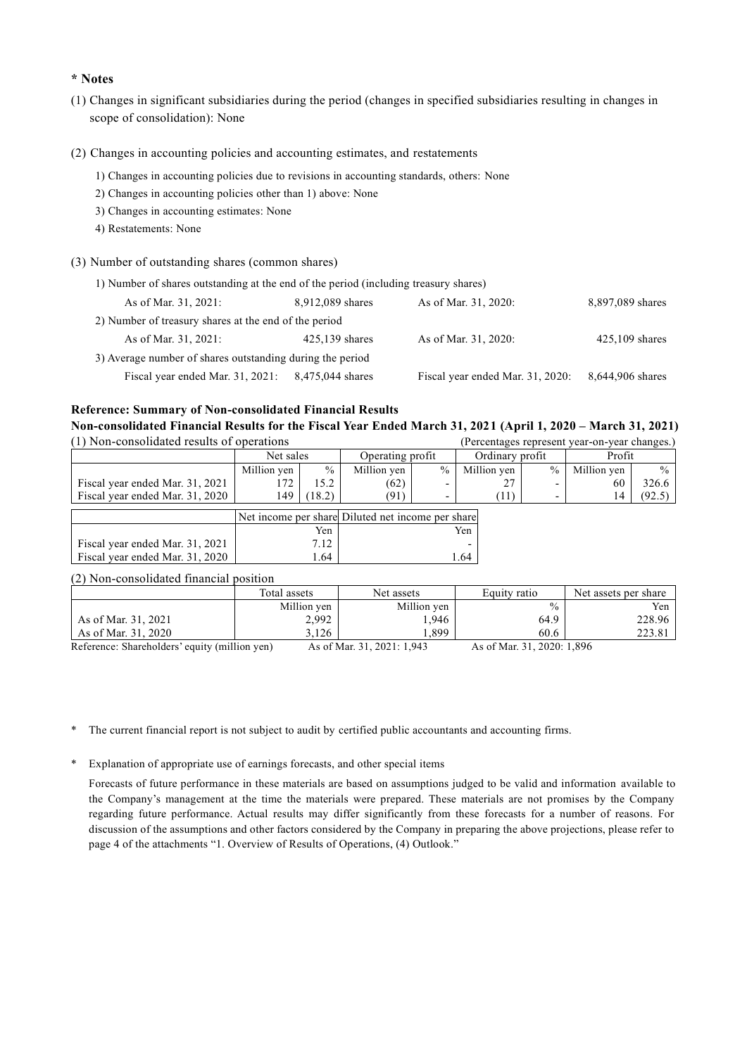# **\* Notes**

- (1) Changes in significant subsidiaries during the period (changes in specified subsidiaries resulting in changes in scope of consolidation): None
- (2) Changes in accounting policies and accounting estimates, and restatements
	- 1) Changes in accounting policies due to revisions in accounting standards, others: None
	- 2) Changes in accounting policies other than 1) above: None
	- 3) Changes in accounting estimates: None
	- 4) Restatements: None
- (3) Number of outstanding shares (common shares)

| 1) Number of shares outstanding at the end of the period (including treasury shares) |                                                       |                                  |                  |  |  |  |  |  |
|--------------------------------------------------------------------------------------|-------------------------------------------------------|----------------------------------|------------------|--|--|--|--|--|
| As of Mar. 31, 2021:                                                                 | 8,912,089 shares                                      | As of Mar. 31, 2020:             | 8,897,089 shares |  |  |  |  |  |
|                                                                                      | 2) Number of treasury shares at the end of the period |                                  |                  |  |  |  |  |  |
| As of Mar. 31, 2021:                                                                 | $425,139$ shares                                      | As of Mar. 31, 2020:             | $425,109$ shares |  |  |  |  |  |
| 3) Average number of shares outstanding during the period                            |                                                       |                                  |                  |  |  |  |  |  |
| Fiscal year ended Mar. 31, 2021:                                                     | 8,475,044 shares                                      | Fiscal year ended Mar. 31, 2020: | 8,644,906 shares |  |  |  |  |  |

### **Reference: Summary of Non-consolidated Financial Results**

**Non-consolidated Financial Results for the Fiscal Year Ended March 31, 2021 (April 1, 2020 – March 31, 2021)**  $(1)$  Non-consolidated results of operations (Percentages) (Percentages)

| UT I NOII-CONSONDATE LESUITS OF ODETATIONS |             |               |                  |               |                   |               | (Percentages represent year-on-year changes.) |               |
|--------------------------------------------|-------------|---------------|------------------|---------------|-------------------|---------------|-----------------------------------------------|---------------|
|                                            | Net sales   |               | Operating profit |               | Ordinary profit   |               | Profit                                        |               |
|                                            | Million ven | $\frac{0}{0}$ | Million ven      | $\frac{0}{0}$ | Million ven       | $\frac{0}{0}$ | Million ven                                   | $\frac{0}{0}$ |
| Fiscal year ended Mar. 31, 2021            |             | 5.2           | (62)             |               | 27                |               | 60                                            | 326.6         |
| Fiscal year ended Mar. 31, 2020            | 149         | (18.2)        | (91              |               | $\left(11\right)$ |               | 14                                            | (92.5)        |
| $ -$                                       |             |               |                  |               |                   |               |                                               |               |

|                                 |      | Net income per share Diluted net income per share |
|---------------------------------|------|---------------------------------------------------|
|                                 | Yen  | Yen                                               |
| Fiscal year ended Mar. 31, 2021 | 7.12 |                                                   |
| Fiscal vear ended Mar. 31, 2020 | .64  | l .64                                             |

### (2) Non-consolidated financial position

|                                                                                                                                                                                                                               | Total assets | Net assets      | Equity ratio    | Net assets per share |
|-------------------------------------------------------------------------------------------------------------------------------------------------------------------------------------------------------------------------------|--------------|-----------------|-----------------|----------------------|
|                                                                                                                                                                                                                               | Million yen  | Million yen     | $\frac{0}{0}$   | Yen                  |
| As of Mar. 31, 2021                                                                                                                                                                                                           | 2,992        | .946            | 64.9            | 228.96               |
| As of Mar. 31, 2020                                                                                                                                                                                                           | 3.126        | . 899           | 60.6            | 223.81               |
| $P_1$ $P_2$ $P_3$ $P_4$ $P_5$ $P_6$ $P_7$ $P_8$ $P_9$ $P_1$ $P_2$ $P_3$ $P_4$ $P_5$ $P_6$ $P_7$ $P_8$ $P_9$ $P_9$ $P_9$ $P_9$ $P_9$ $P_9$ $P_9$ $P_9$ $P_9$ $P_9$ $P_9$ $P_9$ $P_9$ $P_9$ $P_9$ $P_9$ $P_9$ $P_9$ $P_9$ $P_9$ |              | 1.011.0001.1010 | 1.011.0000.1000 |                      |

Reference: Shareholders' equity (million yen) As of Mar. 31, 2021: 1,943 As of Mar. 31, 2020: 1,896

- \* The current financial report is not subject to audit by certified public accountants and accounting firms.
- \* Explanation of appropriate use of earnings forecasts, and other special items

Forecasts of future performance in these materials are based on assumptions judged to be valid and information available to the Company's management at the time the materials were prepared. These materials are not promises by the Company regarding future performance. Actual results may differ significantly from these forecasts for a number of reasons. For discussion of the assumptions and other factors considered by the Company in preparing the above projections, please refer to page 4 of the attachments "1. Overview of Results of Operations, (4) Outlook."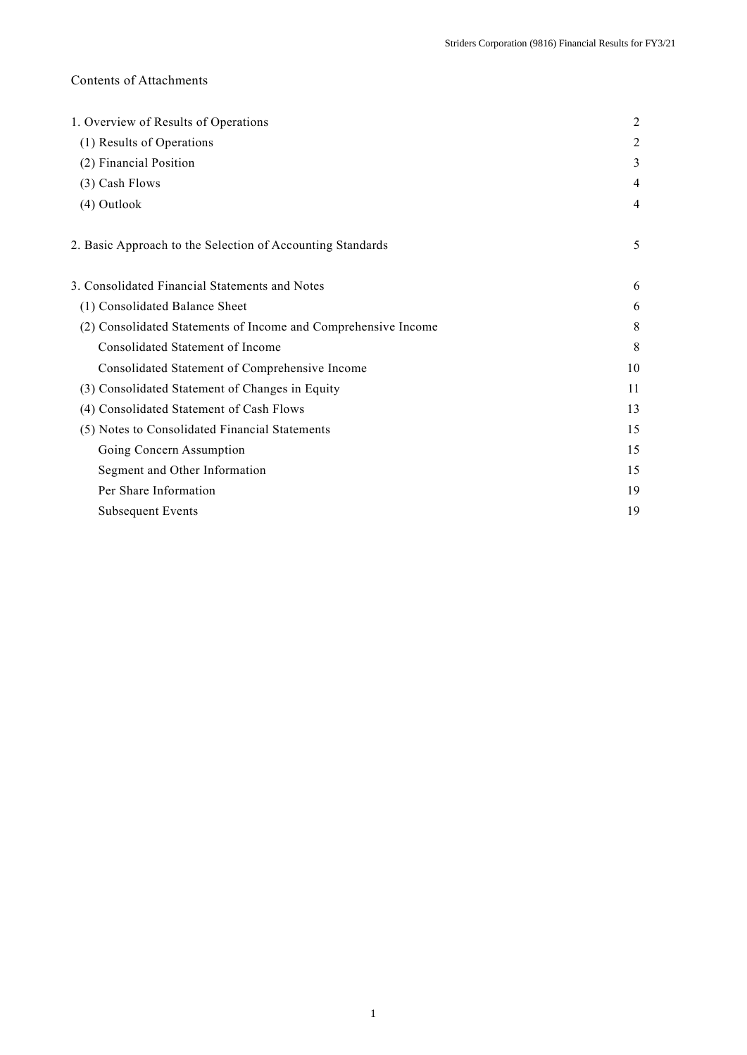# Contents of Attachments

| 1. Overview of Results of Operations                           | $\overline{2}$ |
|----------------------------------------------------------------|----------------|
| (1) Results of Operations                                      | 2              |
| (2) Financial Position                                         | 3              |
| (3) Cash Flows                                                 | 4              |
| (4) Outlook                                                    | 4              |
| 2. Basic Approach to the Selection of Accounting Standards     | 5              |
| 3. Consolidated Financial Statements and Notes                 | 6              |
| (1) Consolidated Balance Sheet                                 | 6              |
| (2) Consolidated Statements of Income and Comprehensive Income | 8              |
| Consolidated Statement of Income                               | 8              |
| Consolidated Statement of Comprehensive Income                 | 10             |
| (3) Consolidated Statement of Changes in Equity                | 11             |
| (4) Consolidated Statement of Cash Flows                       | 13             |
| (5) Notes to Consolidated Financial Statements                 | 15             |
| Going Concern Assumption                                       | 15             |
| Segment and Other Information                                  | 15             |
| Per Share Information                                          | 19             |
| <b>Subsequent Events</b>                                       | 19             |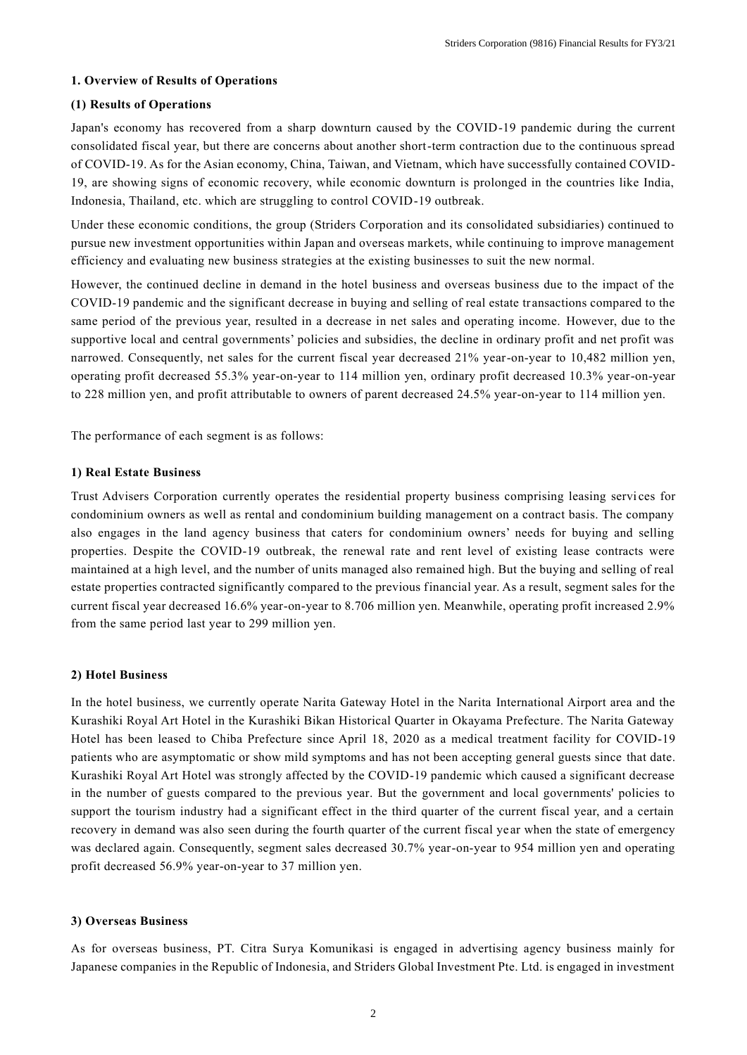# **1. Overview of Results of Operations**

## **(1) Results of Operations**

Japan's economy has recovered from a sharp downturn caused by the COVID-19 pandemic during the current consolidated fiscal year, but there are concerns about another short-term contraction due to the continuous spread of COVID-19. As for the Asian economy, China, Taiwan, and Vietnam, which have successfully contained COVID-19, are showing signs of economic recovery, while economic downturn is prolonged in the countries like India, Indonesia, Thailand, etc. which are struggling to control COVID-19 outbreak.

Under these economic conditions, the group (Striders Corporation and its consolidated subsidiaries) continued to pursue new investment opportunities within Japan and overseas markets, while continuing to improve management efficiency and evaluating new business strategies at the existing businesses to suit the new normal.

However, the continued decline in demand in the hotel business and overseas business due to the impact of the COVID-19 pandemic and the significant decrease in buying and selling of real estate tr ansactions compared to the same period of the previous year, resulted in a decrease in net sales and operating income. However, due to the supportive local and central governments' policies and subsidies, the decline in ordinary profit and net profit was narrowed. Consequently, net sales for the current fiscal year decreased 21% year-on-year to 10,482 million yen, operating profit decreased 55.3% year-on-year to 114 million yen, ordinary profit decreased 10.3% year-on-year to 228 million yen, and profit attributable to owners of parent decreased 24.5% year-on-year to 114 million yen.

The performance of each segment is as follows:

## **1) Real Estate Business**

Trust Advisers Corporation currently operates the residential property business comprising leasing servi ces for condominium owners as well as rental and condominium building management on a contract basis. The company also engages in the land agency business that caters for condominium owners' needs for buying and selling properties. Despite the COVID-19 outbreak, the renewal rate and rent level of existing lease contracts were maintained at a high level, and the number of units managed also remained high. But the buying and selling of real estate properties contracted significantly compared to the previous financial year. As a result, segment sales for the current fiscal year decreased 16.6% year-on-year to 8.706 million yen. Meanwhile, operating profit increased 2.9% from the same period last year to 299 million yen.

## **2) Hotel Business**

In the hotel business, we currently operate Narita Gateway Hotel in the Narita International Airport area and the Kurashiki Royal Art Hotel in the Kurashiki Bikan Historical Quarter in Okayama Prefecture. The Narita Gateway Hotel has been leased to Chiba Prefecture since April 18, 2020 as a medical treatment facility for COVID-19 patients who are asymptomatic or show mild symptoms and has not been accepting general guests since that date. Kurashiki Royal Art Hotel was strongly affected by the COVID-19 pandemic which caused a significant decrease in the number of guests compared to the previous year. But the government and local governments' policies to support the tourism industry had a significant effect in the third quarter of the current fiscal year, and a certain recovery in demand was also seen during the fourth quarter of the current fiscal ye ar when the state of emergency was declared again. Consequently, segment sales decreased 30.7% year-on-year to 954 million yen and operating profit decreased 56.9% year-on-year to 37 million yen.

## **3) Overseas Business**

As for overseas business, PT. Citra Surya Komunikasi is engaged in advertising agency business mainly for Japanese companies in the Republic of Indonesia, and Striders Global Investment Pte. Ltd. is engaged in investment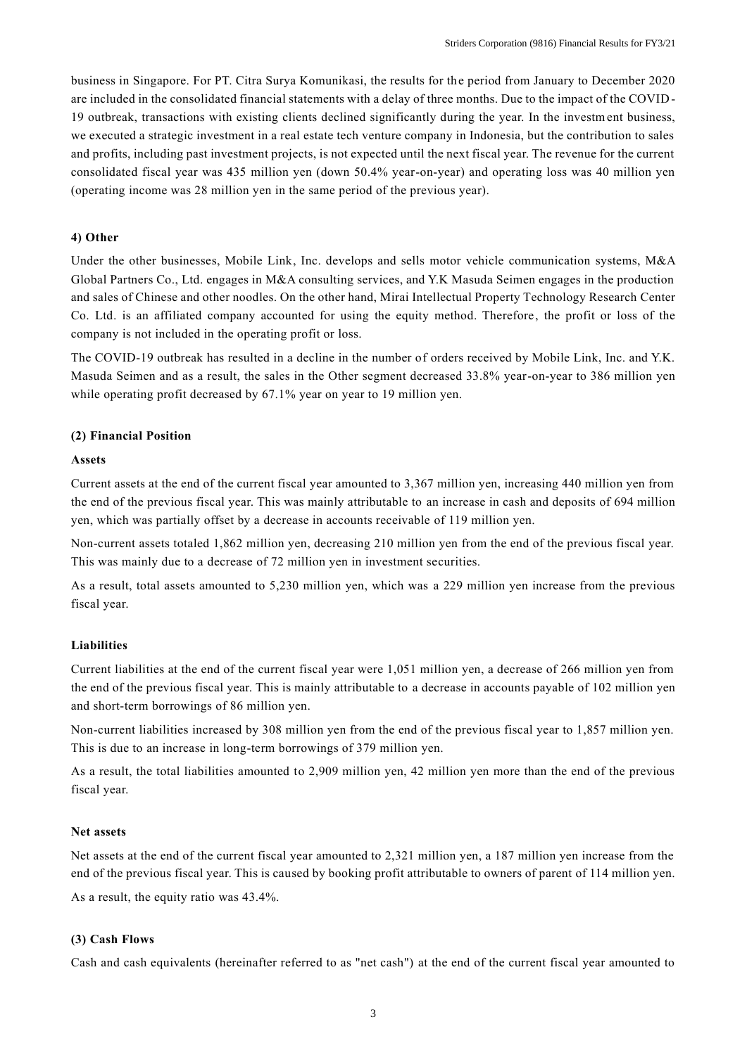business in Singapore. For PT. Citra Surya Komunikasi, the results for the period from January to December 2020 are included in the consolidated financial statements with a delay of three months. Due to the impact of the COVID-19 outbreak, transactions with existing clients declined significantly during the year. In the investment business, we executed a strategic investment in a real estate tech venture company in Indonesia, but the contribution to sales and profits, including past investment projects, is not expected until the next fiscal year. The revenue for the current consolidated fiscal year was 435 million yen (down 50.4% year-on-year) and operating loss was 40 million yen (operating income was 28 million yen in the same period of the previous year).

### **4) Other**

Under the other businesses, Mobile Link, Inc. develops and sells motor vehicle communication systems, M&A Global Partners Co., Ltd. engages in M&A consulting services, and Y.K Masuda Seimen engages in the production and sales of Chinese and other noodles. On the other hand, Mirai Intellectual Property Technology Research Center Co. Ltd. is an affiliated company accounted for using the equity method. Therefore, the profit or loss of the company is not included in the operating profit or loss.

The COVID-19 outbreak has resulted in a decline in the number of orders received by Mobile Link, Inc. and Y.K. Masuda Seimen and as a result, the sales in the Other segment decreased 33.8% year-on-year to 386 million yen while operating profit decreased by 67.1% year on year to 19 million yen.

## **(2) Financial Position**

### **Assets**

Current assets at the end of the current fiscal year amounted to 3,367 million yen, increasing 440 million yen from the end of the previous fiscal year. This was mainly attributable to an increase in cash and deposits of 694 million yen, which was partially offset by a decrease in accounts receivable of 119 million yen.

Non-current assets totaled 1,862 million yen, decreasing 210 million yen from the end of the previous fiscal year. This was mainly due to a decrease of 72 million yen in investment securities.

As a result, total assets amounted to 5,230 million yen, which was a 229 million yen increase from the previous fiscal year.

### **Liabilities**

Current liabilities at the end of the current fiscal year were 1,051 million yen, a decrease of 266 million yen from the end of the previous fiscal year. This is mainly attributable to a decrease in accounts payable of 102 million yen and short-term borrowings of 86 million yen.

Non-current liabilities increased by 308 million yen from the end of the previous fiscal year to 1,857 million yen. This is due to an increase in long-term borrowings of 379 million yen.

As a result, the total liabilities amounted to 2,909 million yen, 42 million yen more than the end of the previous fiscal year.

# **Net assets**

Net assets at the end of the current fiscal year amounted to 2,321 million yen, a 187 million yen increase from the end of the previous fiscal year. This is caused by booking profit attributable to owners of parent of 114 million yen. As a result, the equity ratio was 43.4%.

### **(3) Cash Flows**

Cash and cash equivalents (hereinafter referred to as "net cash") at the end of the current fiscal year amounted to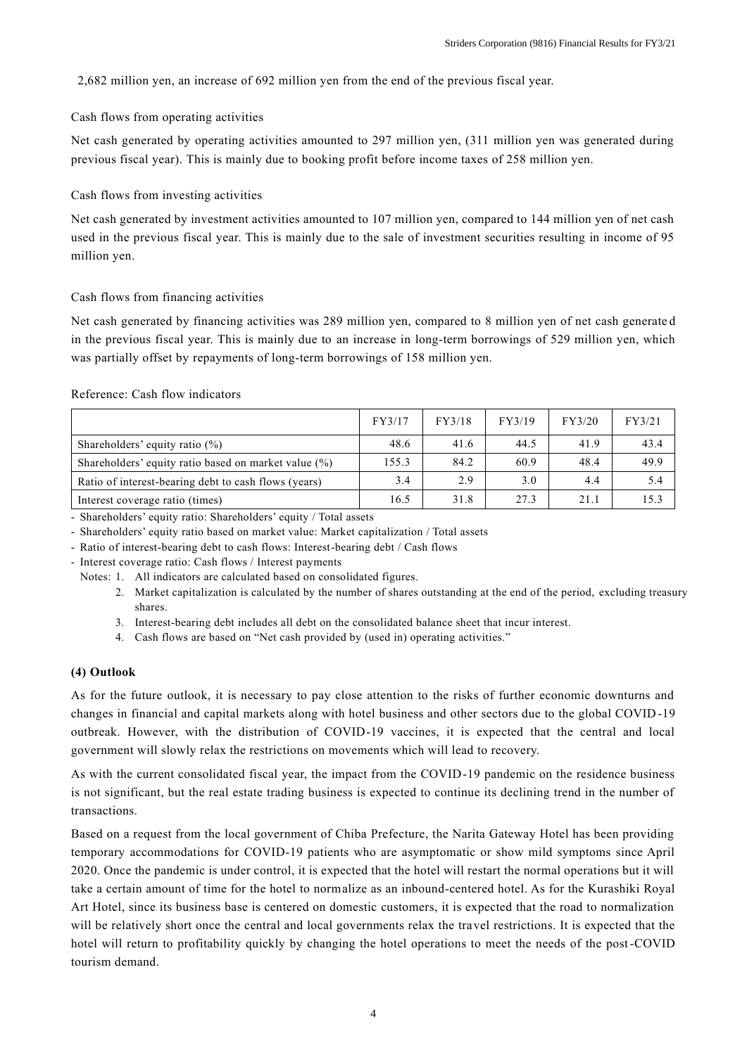2,682 million yen, an increase of 692 million yen from the end of the previous fiscal year.

Cash flows from operating activities

Net cash generated by operating activities amounted to 297 million yen, (311 million yen was generated during previous fiscal year). This is mainly due to booking profit before income taxes of 258 million yen.

Cash flows from investing activities

Net cash generated by investment activities amounted to 107 million yen, compared to 144 million yen of net cash used in the previous fiscal year. This is mainly due to the sale of investment securities resulting in income of 95 million yen.

# Cash flows from financing activities

Net cash generated by financing activities was 289 million yen, compared to 8 million yen of net cash generate d in the previous fiscal year. This is mainly due to an increase in long-term borrowings of 529 million yen, which was partially offset by repayments of long-term borrowings of 158 million yen.

## Reference: Cash flow indicators

|                                                      | FY3/17 | FY3/18 | FY3/19 | FY3/20 | FY3/21 |
|------------------------------------------------------|--------|--------|--------|--------|--------|
| Shareholders' equity ratio $(\%)$                    | 48.6   | 41.6   | 44.5   | 41.9   | 43.4   |
| Shareholders' equity ratio based on market value (%) | 155.3  | 84.2   | 60.9   | 48.4   | 49.9   |
| Ratio of interest-bearing debt to cash flows (years) | 3.4    | 2.9    | 3.0    | 4.4    | 5.4    |
| Interest coverage ratio (times)                      | 16.5   | 31.8   | 27.3   | 21.1   | 15.3   |

- Shareholders' equity ratio: Shareholders' equity / Total assets

- Shareholders' equity ratio based on market value: Market capitalization / Total assets

- Ratio of interest-bearing debt to cash flows: Interest-bearing debt / Cash flows

- Interest coverage ratio: Cash flows / Interest payments

Notes: 1. All indicators are calculated based on consolidated figures.

- 2. Market capitalization is calculated by the number of shares outstanding at the end of the period, excluding treasury shares.
- 3. Interest-bearing debt includes all debt on the consolidated balance sheet that incur interest.
- 4. Cash flows are based on "Net cash provided by (used in) operating activities."

## **(4) Outlook**

As for the future outlook, it is necessary to pay close attention to the risks of further economic downturns and changes in financial and capital markets along with hotel business and other sectors due to the global COVID -19 outbreak. However, with the distribution of COVID-19 vaccines, it is expected that the central and local government will slowly relax the restrictions on movements which will lead to recovery.

As with the current consolidated fiscal year, the impact from the COVID-19 pandemic on the residence business is not significant, but the real estate trading business is expected to continue its declining trend in the number of transactions.

Based on a request from the local government of Chiba Prefecture, the Narita Gateway Hotel has been providing temporary accommodations for COVID-19 patients who are asymptomatic or show mild symptoms since April 2020. Once the pandemic is under control, it is expected that the hotel will restart the normal operations but it will take a certain amount of time for the hotel to normalize as an inbound-centered hotel. As for the Kurashiki Royal Art Hotel, since its business base is centered on domestic customers, it is expected that the road to normalization will be relatively short once the central and local governments relax the travel restrictions. It is expected that the hotel will return to profitability quickly by changing the hotel operations to meet the needs of the post-COVID tourism demand.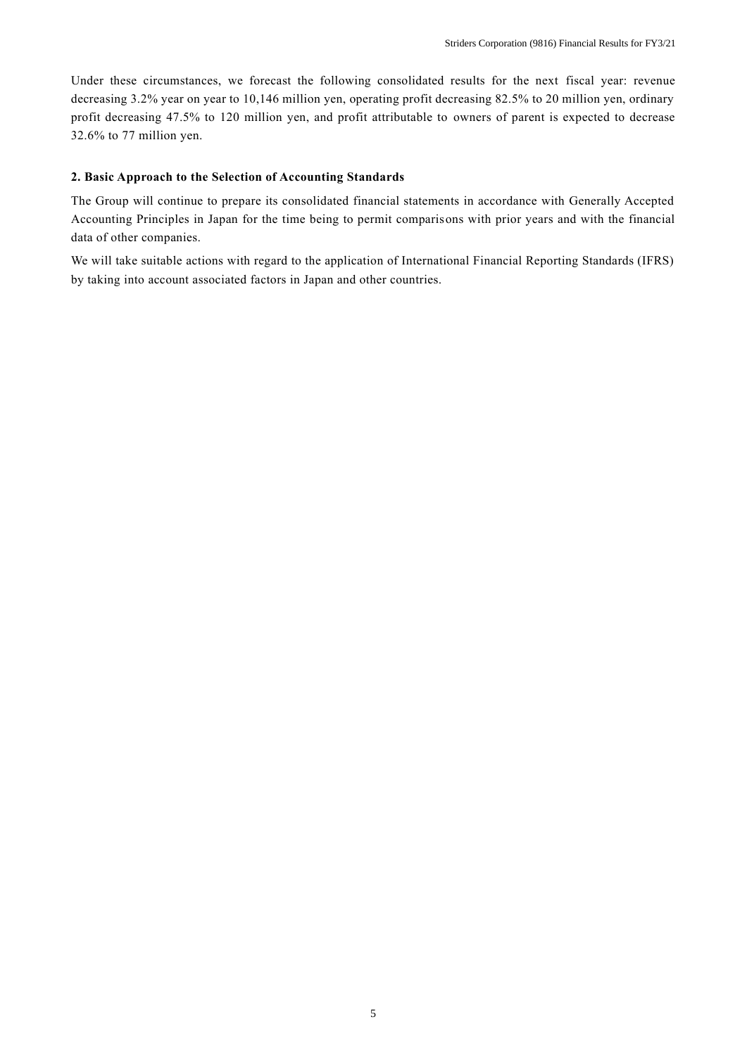Under these circumstances, we forecast the following consolidated results for the next fiscal year: revenue decreasing 3.2% year on year to 10,146 million yen, operating profit decreasing 82.5% to 20 million yen, ordinary profit decreasing 47.5% to 120 million yen, and profit attributable to owners of parent is expected to decrease 32.6% to 77 million yen.

### **2. Basic Approach to the Selection of Accounting Standards**

The Group will continue to prepare its consolidated financial statements in accordance with Generally Accepted Accounting Principles in Japan for the time being to permit comparisons with prior years and with the financial data of other companies.

We will take suitable actions with regard to the application of International Financial Reporting Standards (IFRS) by taking into account associated factors in Japan and other countries.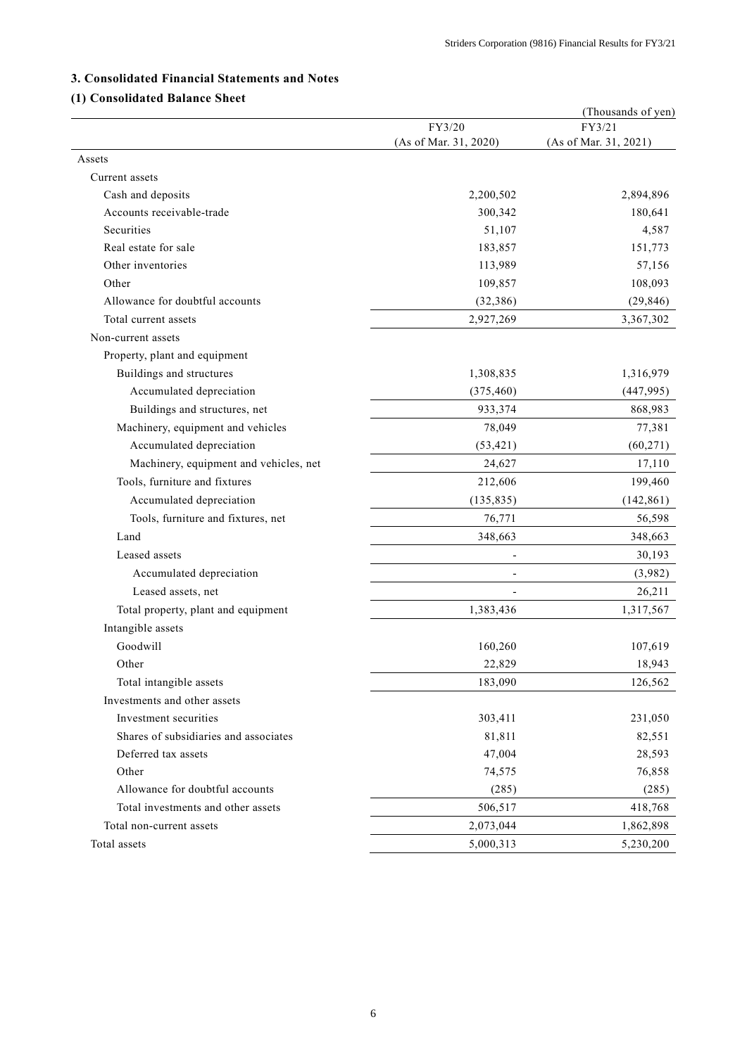# **3. Consolidated Financial Statements and Notes**

# **(1) Consolidated Balance Sheet**

| Consonaated Dalance                    |                          | (Thousands of yen)    |
|----------------------------------------|--------------------------|-----------------------|
|                                        | FY3/20                   | FY3/21                |
|                                        | (As of Mar. 31, 2020)    | (As of Mar. 31, 2021) |
| Assets                                 |                          |                       |
| Current assets                         |                          |                       |
| Cash and deposits                      | 2,200,502                | 2,894,896             |
| Accounts receivable-trade              | 300,342                  | 180,641               |
| Securities                             | 51,107                   | 4,587                 |
| Real estate for sale                   | 183,857                  | 151,773               |
| Other inventories                      | 113,989                  | 57,156                |
| Other                                  | 109,857                  | 108,093               |
| Allowance for doubtful accounts        | (32, 386)                | (29, 846)             |
| Total current assets                   | 2,927,269                | 3,367,302             |
| Non-current assets                     |                          |                       |
| Property, plant and equipment          |                          |                       |
| Buildings and structures               | 1,308,835                | 1,316,979             |
| Accumulated depreciation               | (375, 460)               | (447, 995)            |
| Buildings and structures, net          | 933,374                  | 868,983               |
| Machinery, equipment and vehicles      | 78,049                   | 77,381                |
| Accumulated depreciation               | (53, 421)                | (60, 271)             |
| Machinery, equipment and vehicles, net | 24,627                   | 17,110                |
| Tools, furniture and fixtures          | 212,606                  | 199,460               |
| Accumulated depreciation               | (135, 835)               | (142, 861)            |
| Tools, furniture and fixtures, net     | 76,771                   | 56,598                |
| Land                                   | 348,663                  | 348,663               |
| Leased assets                          | $\overline{\phantom{0}}$ | 30,193                |
| Accumulated depreciation               | $\overline{a}$           | (3,982)               |
| Leased assets, net                     |                          | 26,211                |
| Total property, plant and equipment    | 1,383,436                | 1,317,567             |
| Intangible assets                      |                          |                       |
| Goodwill                               | 160,260                  | 107,619               |
| Other                                  | 22,829                   | 18,943                |
| Total intangible assets                | 183,090                  | 126,562               |
| Investments and other assets           |                          |                       |
| Investment securities                  | 303,411                  | 231,050               |
| Shares of subsidiaries and associates  | 81,811                   | 82,551                |
| Deferred tax assets                    | 47,004                   | 28,593                |
| Other                                  | 74,575                   | 76,858                |
| Allowance for doubtful accounts        | (285)                    | (285)                 |
| Total investments and other assets     | 506,517                  | 418,768               |
| Total non-current assets               | 2,073,044                | 1,862,898             |
| Total assets                           | 5,000,313                | 5,230,200             |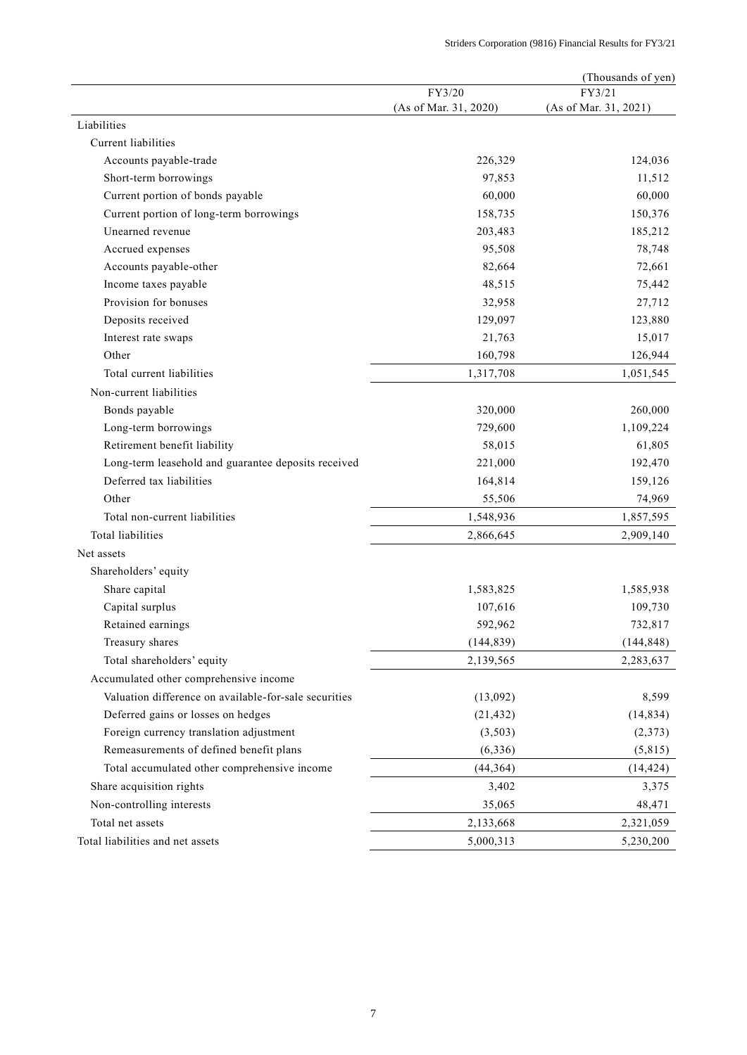|                                                       |                       | (Thousands of yen)    |
|-------------------------------------------------------|-----------------------|-----------------------|
|                                                       | FY3/20                | FY3/21                |
| Liabilities                                           | (As of Mar. 31, 2020) | (As of Mar. 31, 2021) |
|                                                       |                       |                       |
| Current liabilities                                   |                       |                       |
| Accounts payable-trade                                | 226,329               | 124,036               |
| Short-term borrowings                                 | 97,853                | 11,512                |
| Current portion of bonds payable                      | 60,000                | 60,000                |
| Current portion of long-term borrowings               | 158,735               | 150,376               |
| Unearned revenue                                      | 203,483               | 185,212               |
| Accrued expenses                                      | 95,508                | 78,748                |
| Accounts payable-other                                | 82,664                | 72,661                |
| Income taxes payable                                  | 48,515                | 75,442                |
| Provision for bonuses                                 | 32,958                | 27,712                |
| Deposits received                                     | 129,097               | 123,880               |
| Interest rate swaps                                   | 21,763                | 15,017                |
| Other                                                 | 160,798               | 126,944               |
| Total current liabilities                             | 1,317,708             | 1,051,545             |
| Non-current liabilities                               |                       |                       |
| Bonds payable                                         | 320,000               | 260,000               |
| Long-term borrowings                                  | 729,600               | 1,109,224             |
| Retirement benefit liability                          | 58,015                | 61,805                |
| Long-term leasehold and guarantee deposits received   | 221,000               | 192,470               |
| Deferred tax liabilities                              | 164,814               | 159,126               |
| Other                                                 | 55,506                | 74,969                |
| Total non-current liabilities                         | 1,548,936             | 1,857,595             |
| <b>Total liabilities</b>                              | 2,866,645             | 2,909,140             |
| Net assets                                            |                       |                       |
| Shareholders' equity                                  |                       |                       |
| Share capital                                         | 1,583,825             | 1,585,938             |
| Capital surplus                                       | 107,616               | 109,730               |
| Retained earnings                                     | 592,962               | 732,817               |
| Treasury shares                                       | (144, 839)            | (144, 848)            |
| Total shareholders' equity                            | 2,139,565             | 2,283,637             |
| Accumulated other comprehensive income                |                       |                       |
| Valuation difference on available-for-sale securities | (13,092)              | 8,599                 |
| Deferred gains or losses on hedges                    | (21, 432)             | (14, 834)             |
| Foreign currency translation adjustment               | (3,503)               | (2,373)               |
| Remeasurements of defined benefit plans               | (6, 336)              | (5,815)               |
| Total accumulated other comprehensive income          | (44, 364)             | (14, 424)             |
| Share acquisition rights                              | 3,402                 | 3,375                 |
|                                                       |                       |                       |
| Non-controlling interests                             | 35,065                | 48,471                |
| Total net assets                                      | 2,133,668             | 2,321,059             |
| Total liabilities and net assets                      | 5,000,313             | 5,230,200             |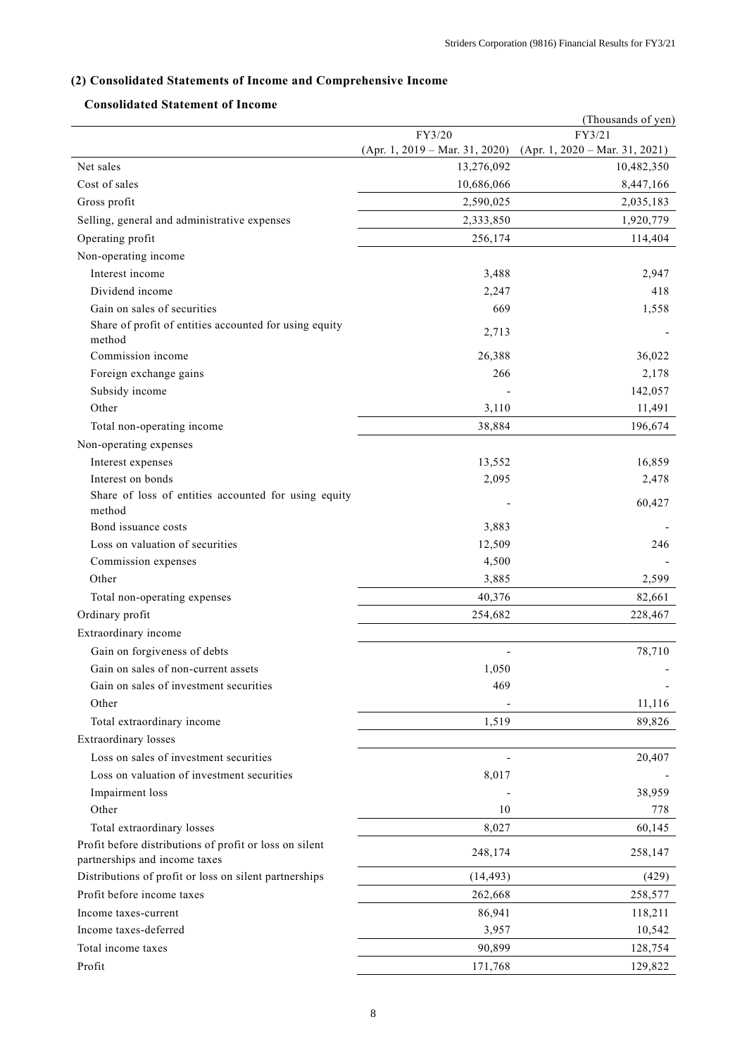# **(2) Consolidated Statements of Income and Comprehensive Income**

# **Consolidated Statement of Income**

|                                                                                          |                                  | (Thousands of yen)               |
|------------------------------------------------------------------------------------------|----------------------------------|----------------------------------|
|                                                                                          | FY3/20                           | FY3/21                           |
|                                                                                          | $(Apr. 1, 2019 - Mar. 31, 2020)$ | $(Apr. 1, 2020 - Mar. 31, 2021)$ |
| Net sales                                                                                | 13,276,092                       | 10,482,350                       |
| Cost of sales                                                                            | 10,686,066                       | 8,447,166                        |
| Gross profit                                                                             | 2,590,025                        | 2,035,183                        |
| Selling, general and administrative expenses                                             | 2,333,850                        | 1,920,779                        |
| Operating profit                                                                         | 256,174                          | 114,404                          |
| Non-operating income                                                                     |                                  |                                  |
| Interest income                                                                          | 3,488                            | 2,947                            |
| Dividend income                                                                          | 2,247                            | 418                              |
| Gain on sales of securities                                                              | 669                              | 1,558                            |
| Share of profit of entities accounted for using equity<br>method                         | 2,713                            |                                  |
| Commission income                                                                        | 26,388                           | 36,022                           |
| Foreign exchange gains                                                                   | 266                              | 2,178                            |
| Subsidy income                                                                           |                                  | 142,057                          |
| Other                                                                                    | 3,110                            | 11,491                           |
| Total non-operating income                                                               | 38,884                           | 196,674                          |
| Non-operating expenses                                                                   |                                  |                                  |
| Interest expenses                                                                        | 13,552                           | 16,859                           |
| Interest on bonds                                                                        | 2,095                            | 2,478                            |
| Share of loss of entities accounted for using equity<br>method                           |                                  | 60,427                           |
| Bond issuance costs                                                                      | 3,883                            |                                  |
| Loss on valuation of securities                                                          | 12,509                           | 246                              |
| Commission expenses                                                                      | 4,500                            |                                  |
| Other                                                                                    | 3,885                            | 2,599                            |
| Total non-operating expenses                                                             | 40,376                           | 82,661                           |
| Ordinary profit                                                                          | 254,682                          | 228,467                          |
| Extraordinary income                                                                     |                                  |                                  |
| Gain on forgiveness of debts                                                             |                                  | 78,710                           |
| Gain on sales of non-current assets                                                      | 1,050                            |                                  |
| Gain on sales of investment securities                                                   | 469                              |                                  |
| Other                                                                                    |                                  | 11,116                           |
| Total extraordinary income                                                               | 1,519                            | 89,826                           |
| <b>Extraordinary</b> losses                                                              |                                  |                                  |
| Loss on sales of investment securities                                                   |                                  | 20,407                           |
| Loss on valuation of investment securities                                               |                                  |                                  |
|                                                                                          | 8,017                            |                                  |
| Impairment loss                                                                          |                                  | 38,959                           |
| Other                                                                                    | 10                               | 778                              |
| Total extraordinary losses                                                               | 8,027                            | 60,145                           |
| Profit before distributions of profit or loss on silent<br>partnerships and income taxes | 248,174                          | 258,147                          |
| Distributions of profit or loss on silent partnerships                                   | (14, 493)                        | (429)                            |
| Profit before income taxes                                                               | 262,668                          | 258,577                          |
| Income taxes-current                                                                     | 86,941                           | 118,211                          |
| Income taxes-deferred                                                                    | 3,957                            | 10,542                           |
| Total income taxes                                                                       | 90,899                           | 128,754                          |
| Profit                                                                                   | 171,768                          | 129,822                          |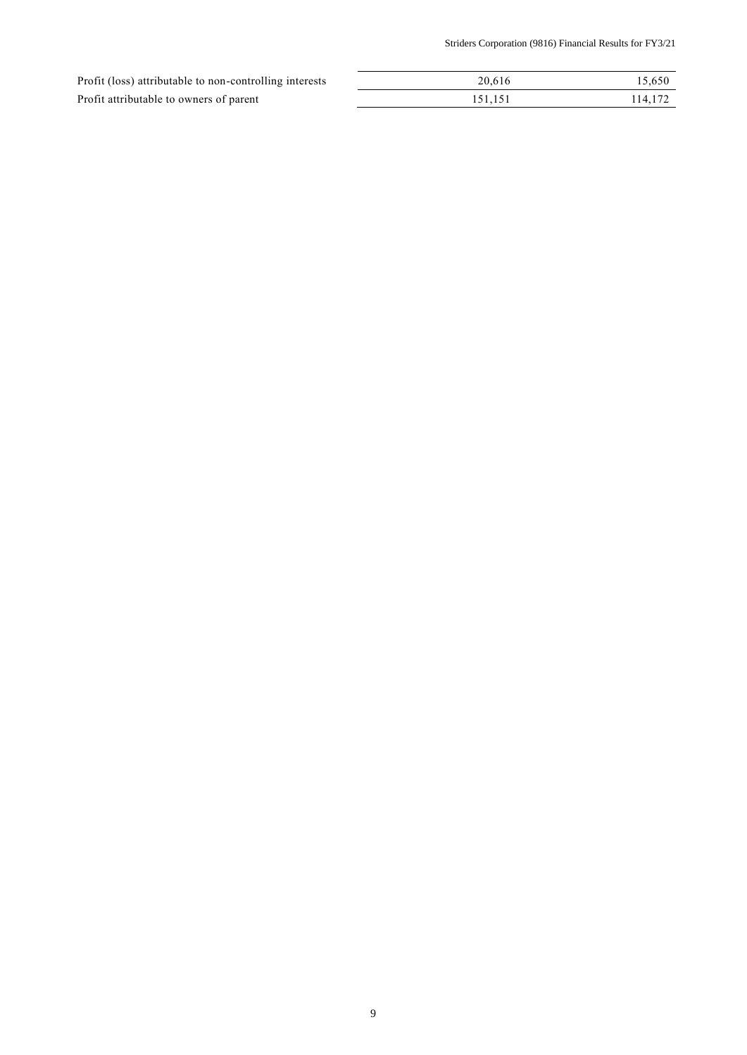| Profit (loss) attributable to non-controlling interests | 20.616  | 15,650  |
|---------------------------------------------------------|---------|---------|
| Profit attributable to owners of parent                 | 151.151 | 114,172 |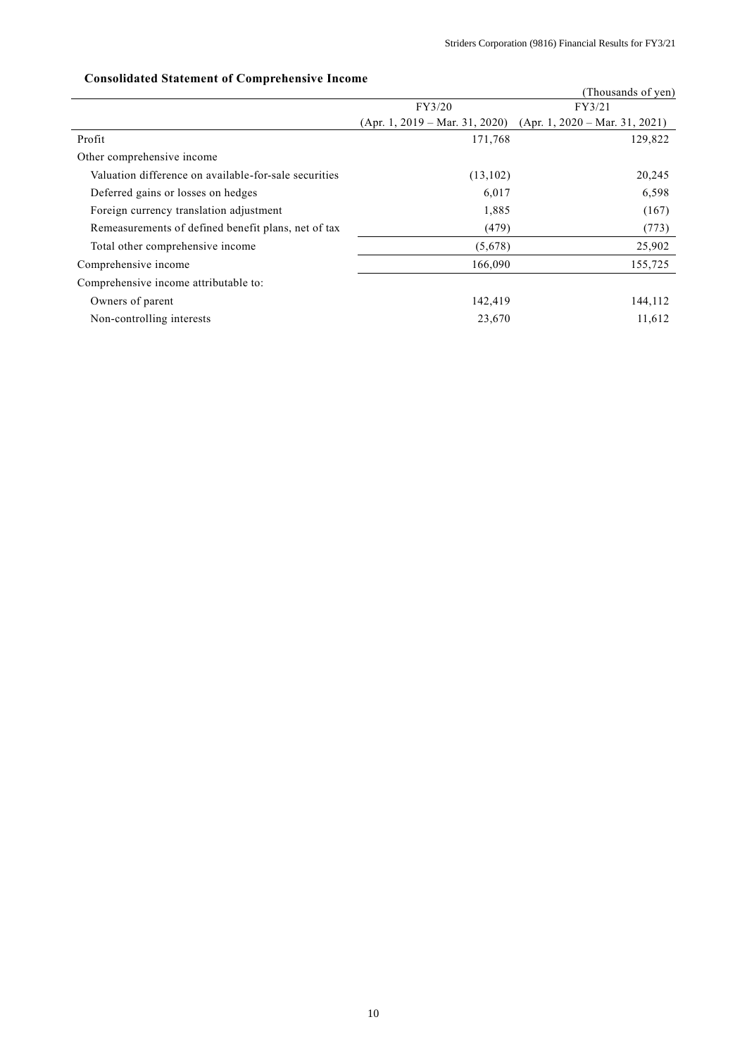|                                                       |                                  | (Thousands of yen)               |
|-------------------------------------------------------|----------------------------------|----------------------------------|
|                                                       | FY3/20                           | FY3/21                           |
|                                                       | $(Apr. 1, 2019 - Mar. 31, 2020)$ | $(Apr. 1, 2020 - Mar. 31, 2021)$ |
| Profit                                                | 171,768                          | 129,822                          |
| Other comprehensive income                            |                                  |                                  |
| Valuation difference on available-for-sale securities | (13,102)                         | 20,245                           |
| Deferred gains or losses on hedges                    | 6,017                            | 6,598                            |
| Foreign currency translation adjustment               | 1,885                            | (167)                            |
| Remeasurements of defined benefit plans, net of tax   | (479)                            | (773)                            |
| Total other comprehensive income                      | (5,678)                          | 25,902                           |
| Comprehensive income                                  | 166,090                          | 155,725                          |
| Comprehensive income attributable to:                 |                                  |                                  |
| Owners of parent                                      | 142,419                          | 144,112                          |
| Non-controlling interests                             | 23,670                           | 11,612                           |

# **Consolidated Statement of Comprehensive Income**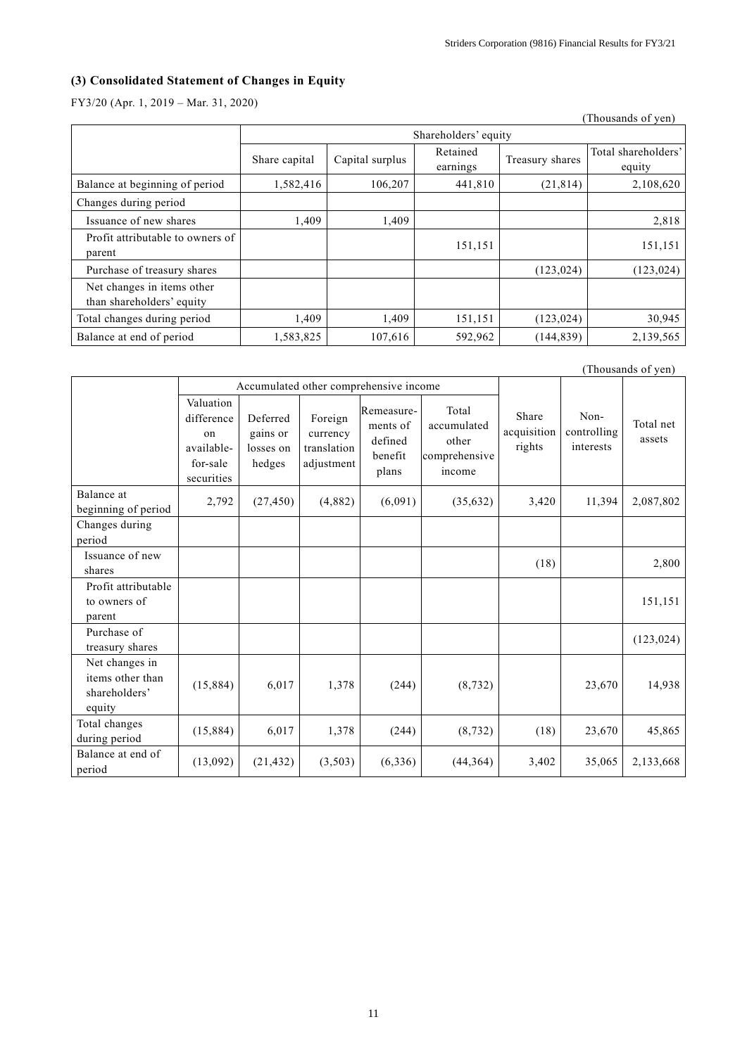# **(3) Consolidated Statement of Changes in Equity**

FY3/20 (Apr. 1, 2019 – Mar. 31, 2020)

|                                                         |               |                      |                      |                 | (Thousands of yen)            |  |  |
|---------------------------------------------------------|---------------|----------------------|----------------------|-----------------|-------------------------------|--|--|
|                                                         |               | Shareholders' equity |                      |                 |                               |  |  |
|                                                         | Share capital | Capital surplus      | Retained<br>earnings | Treasury shares | Total shareholders'<br>equity |  |  |
| Balance at beginning of period                          | 1,582,416     | 106,207              | 441,810              | (21, 814)       | 2,108,620                     |  |  |
| Changes during period                                   |               |                      |                      |                 |                               |  |  |
| Issuance of new shares                                  | 1,409         | 1,409                |                      |                 | 2,818                         |  |  |
| Profit attributable to owners of<br>parent              |               |                      | 151,151              |                 | 151,151                       |  |  |
| Purchase of treasury shares                             |               |                      |                      | (123, 024)      | (123, 024)                    |  |  |
| Net changes in items other<br>than shareholders' equity |               |                      |                      |                 |                               |  |  |
| Total changes during period                             | 1,409         | 1,409                | 151,151              | (123, 024)      | 30,945                        |  |  |
| Balance at end of period                                | 1,583,825     | 107,616              | 592,962              | (144, 839)      | 2,139,565                     |  |  |

|                                                               |                                                                       |                                             |                                                  |                                                       |                                                          |                                |                                  | (Thousands of yen)  |
|---------------------------------------------------------------|-----------------------------------------------------------------------|---------------------------------------------|--------------------------------------------------|-------------------------------------------------------|----------------------------------------------------------|--------------------------------|----------------------------------|---------------------|
|                                                               |                                                                       | Accumulated other comprehensive income      |                                                  |                                                       |                                                          |                                |                                  |                     |
|                                                               | Valuation<br>difference<br>on<br>available-<br>for-sale<br>securities | Deferred<br>gains or<br>losses on<br>hedges | Foreign<br>currency<br>translation<br>adjustment | Remeasure-<br>ments of<br>defined<br>benefit<br>plans | Total<br>accumulated<br>other<br>comprehensive<br>income | Share<br>acquisition<br>rights | Non-<br>controlling<br>interests | Total net<br>assets |
| Balance at<br>beginning of period                             | 2,792                                                                 | (27, 450)                                   | (4,882)                                          | (6,091)                                               | (35,632)                                                 | 3,420                          | 11,394                           | 2,087,802           |
| Changes during<br>period                                      |                                                                       |                                             |                                                  |                                                       |                                                          |                                |                                  |                     |
| Issuance of new<br>shares                                     |                                                                       |                                             |                                                  |                                                       |                                                          | (18)                           |                                  | 2,800               |
| Profit attributable<br>to owners of<br>parent                 |                                                                       |                                             |                                                  |                                                       |                                                          |                                |                                  | 151,151             |
| Purchase of<br>treasury shares                                |                                                                       |                                             |                                                  |                                                       |                                                          |                                |                                  | (123, 024)          |
| Net changes in<br>items other than<br>shareholders'<br>equity | (15,884)                                                              | 6,017                                       | 1,378                                            | (244)                                                 | (8, 732)                                                 |                                | 23,670                           | 14,938              |
| Total changes<br>during period                                | (15,884)                                                              | 6,017                                       | 1,378                                            | (244)                                                 | (8, 732)                                                 | (18)                           | 23,670                           | 45,865              |
| Balance at end of<br>period                                   | (13,092)                                                              | (21, 432)                                   | (3,503)                                          | (6,336)                                               | (44,364)                                                 | 3,402                          | 35,065                           | 2,133,668           |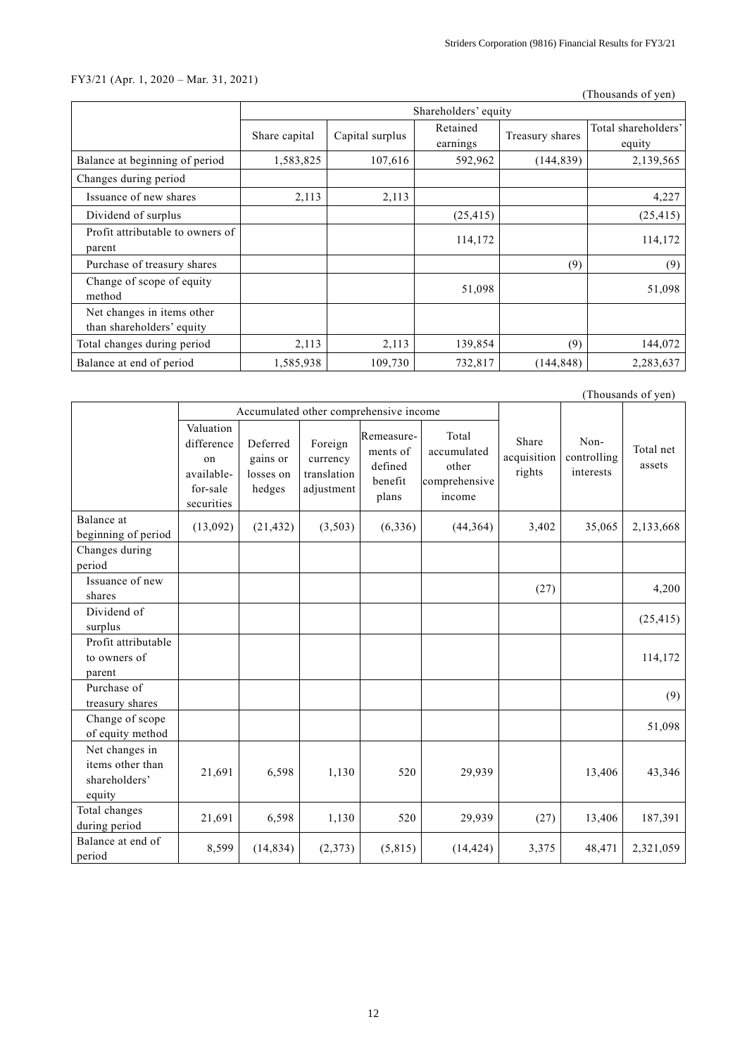# FY3/21 (Apr. 1, 2020 – Mar. 31, 2021)

(Thousands of yen)

|                                                         | Shareholders' equity |                 |                      |                 |                               |  |
|---------------------------------------------------------|----------------------|-----------------|----------------------|-----------------|-------------------------------|--|
|                                                         | Share capital        | Capital surplus | Retained<br>earnings | Treasury shares | Total shareholders'<br>equity |  |
| Balance at beginning of period                          | 1,583,825            | 107,616         | 592,962              | (144, 839)      | 2,139,565                     |  |
| Changes during period                                   |                      |                 |                      |                 |                               |  |
| Issuance of new shares                                  | 2,113                | 2,113           |                      |                 | 4,227                         |  |
| Dividend of surplus                                     |                      |                 | (25, 415)            |                 | (25, 415)                     |  |
| Profit attributable to owners of<br>parent              |                      |                 | 114,172              |                 | 114,172                       |  |
| Purchase of treasury shares                             |                      |                 |                      | (9)             | (9)                           |  |
| Change of scope of equity<br>method                     |                      |                 | 51,098               |                 | 51,098                        |  |
| Net changes in items other<br>than shareholders' equity |                      |                 |                      |                 |                               |  |
| Total changes during period                             | 2,113                | 2,113           | 139,854              | (9)             | 144,072                       |  |
| Balance at end of period                                | 1,585,938            | 109,730         | 732,817              | (144, 848)      | 2,283,637                     |  |

|                                                               | (Thousands of yen)                                                    |                                             |                                                  |                                                       |                                                          |                                |                                  |                     |
|---------------------------------------------------------------|-----------------------------------------------------------------------|---------------------------------------------|--------------------------------------------------|-------------------------------------------------------|----------------------------------------------------------|--------------------------------|----------------------------------|---------------------|
|                                                               | Accumulated other comprehensive income                                |                                             |                                                  |                                                       |                                                          |                                |                                  |                     |
|                                                               | Valuation<br>difference<br>on<br>available-<br>for-sale<br>securities | Deferred<br>gains or<br>losses on<br>hedges | Foreign<br>currency<br>translation<br>adjustment | Remeasure-<br>ments of<br>defined<br>benefit<br>plans | Total<br>accumulated<br>other<br>comprehensive<br>income | Share<br>acquisition<br>rights | Non-<br>controlling<br>interests | Total net<br>assets |
| Balance at<br>beginning of period                             | (13,092)                                                              | (21, 432)                                   | (3,503)                                          | (6, 336)                                              | (44,364)                                                 | 3,402                          | 35,065                           | 2,133,668           |
| Changes during<br>period                                      |                                                                       |                                             |                                                  |                                                       |                                                          |                                |                                  |                     |
| Issuance of new<br>shares                                     |                                                                       |                                             |                                                  |                                                       |                                                          | (27)                           |                                  | 4,200               |
| Dividend of<br>surplus                                        |                                                                       |                                             |                                                  |                                                       |                                                          |                                |                                  | (25, 415)           |
| Profit attributable<br>to owners of<br>parent                 |                                                                       |                                             |                                                  |                                                       |                                                          |                                |                                  | 114,172             |
| Purchase of<br>treasury shares                                |                                                                       |                                             |                                                  |                                                       |                                                          |                                |                                  | (9)                 |
| Change of scope<br>of equity method                           |                                                                       |                                             |                                                  |                                                       |                                                          |                                |                                  | 51,098              |
| Net changes in<br>items other than<br>shareholders'<br>equity | 21,691                                                                | 6,598                                       | 1,130                                            | 520                                                   | 29,939                                                   |                                | 13,406                           | 43,346              |
| Total changes<br>during period                                | 21,691                                                                | 6,598                                       | 1,130                                            | 520                                                   | 29,939                                                   | (27)                           | 13,406                           | 187,391             |
| Balance at end of<br>period                                   | 8,599                                                                 | (14, 834)                                   | (2,373)                                          | (5,815)                                               | (14, 424)                                                | 3,375                          | 48,471                           | 2,321,059           |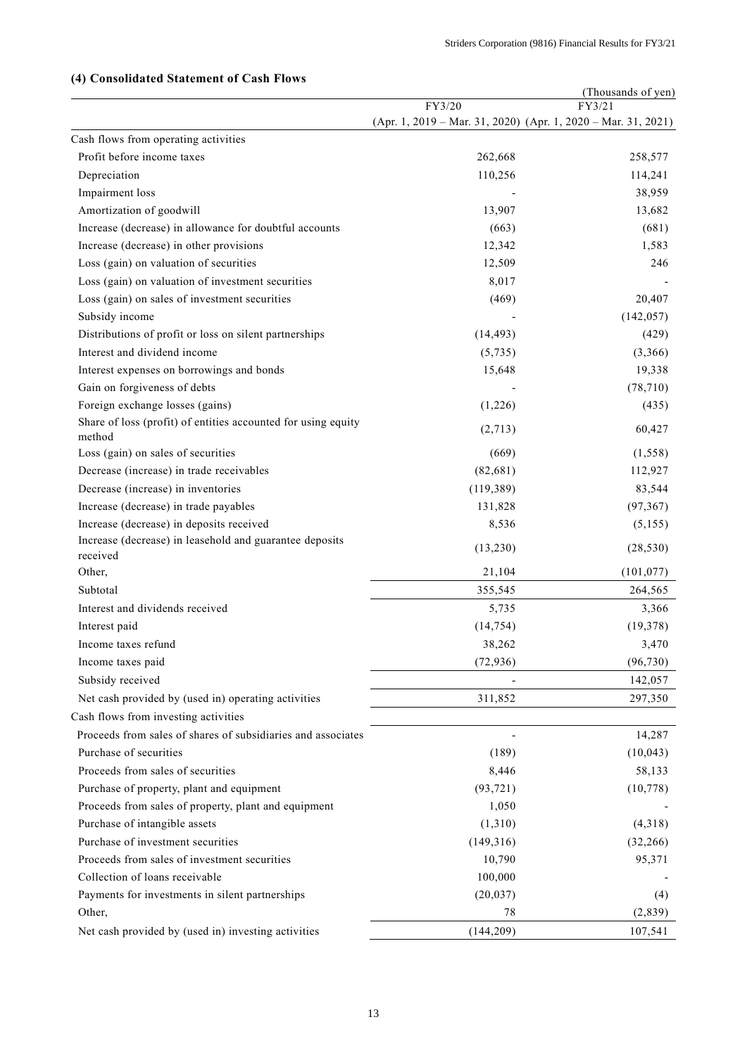|                                                               |                                                                         | (Thousands of yen) |
|---------------------------------------------------------------|-------------------------------------------------------------------------|--------------------|
|                                                               | FY3/20<br>(Apr. 1, 2019 - Mar. 31, 2020) (Apr. 1, 2020 - Mar. 31, 2021) | FY3/21             |
| Cash flows from operating activities                          |                                                                         |                    |
| Profit before income taxes                                    | 262,668                                                                 | 258,577            |
| Depreciation                                                  | 110,256                                                                 | 114,241            |
| Impairment loss                                               |                                                                         | 38,959             |
| Amortization of goodwill                                      | 13,907                                                                  | 13,682             |
| Increase (decrease) in allowance for doubtful accounts        | (663)                                                                   | (681)              |
| Increase (decrease) in other provisions                       | 12,342                                                                  | 1,583              |
| Loss (gain) on valuation of securities                        | 12,509                                                                  | 246                |
| Loss (gain) on valuation of investment securities             | 8,017                                                                   |                    |
| Loss (gain) on sales of investment securities                 | (469)                                                                   | 20,407             |
| Subsidy income                                                |                                                                         | (142, 057)         |
| Distributions of profit or loss on silent partnerships        | (14, 493)                                                               | (429)              |
| Interest and dividend income                                  | (5,735)                                                                 | (3,366)            |
| Interest expenses on borrowings and bonds                     | 15,648                                                                  | 19,338             |
| Gain on forgiveness of debts                                  |                                                                         | (78, 710)          |
| Foreign exchange losses (gains)                               | (1,226)                                                                 | (435)              |
| Share of loss (profit) of entities accounted for using equity |                                                                         |                    |
| method                                                        | (2,713)                                                                 | 60,427             |
| Loss (gain) on sales of securities                            | (669)                                                                   | (1, 558)           |
| Decrease (increase) in trade receivables                      | (82, 681)                                                               | 112,927            |
| Decrease (increase) in inventories                            | (119, 389)                                                              | 83,544             |
| Increase (decrease) in trade payables                         | 131,828                                                                 | (97, 367)          |
| Increase (decrease) in deposits received                      | 8,536                                                                   | (5, 155)           |
| Increase (decrease) in leasehold and guarantee deposits       | (13,230)                                                                | (28, 530)          |
| received                                                      | 21,104                                                                  |                    |
| Other,                                                        |                                                                         | (101, 077)         |
| Subtotal                                                      | 355,545                                                                 | 264,565            |
| Interest and dividends received                               | 5,735                                                                   | 3,366              |
| Interest paid                                                 | (14, 754)                                                               | (19, 378)          |
| Income taxes refund                                           | 38,262                                                                  | 3,470              |
| Income taxes paid                                             | (72, 936)                                                               | (96, 730)          |
| Subsidy received                                              |                                                                         | 142,057            |
| Net cash provided by (used in) operating activities           | 311,852                                                                 | 297,350            |
| Cash flows from investing activities                          |                                                                         |                    |
| Proceeds from sales of shares of subsidiaries and associates  |                                                                         | 14,287             |
| Purchase of securities                                        | (189)                                                                   | (10,043)           |
| Proceeds from sales of securities                             | 8,446                                                                   | 58,133             |
| Purchase of property, plant and equipment                     | (93, 721)                                                               | (10, 778)          |
| Proceeds from sales of property, plant and equipment          | 1,050                                                                   |                    |
| Purchase of intangible assets                                 | (1,310)                                                                 | (4,318)            |
| Purchase of investment securities                             | (149,316)                                                               | (32, 266)          |
| Proceeds from sales of investment securities                  | 10,790                                                                  | 95,371             |
| Collection of loans receivable                                | 100,000                                                                 |                    |
| Payments for investments in silent partnerships               | (20, 037)                                                               | (4)                |
| Other,                                                        | 78                                                                      | (2,839)            |
| Net cash provided by (used in) investing activities           | (144, 209)                                                              | 107,541            |

# **(4) Consolidated Statement of Cash Flows**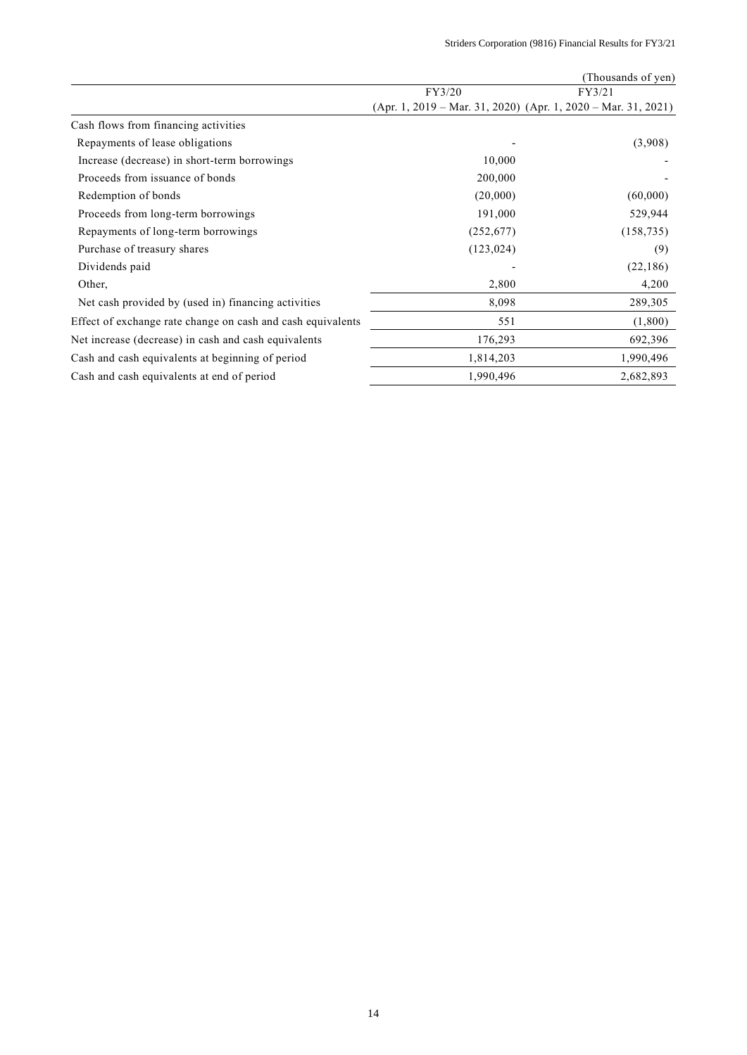|                                                             |                                                                   | (Thousands of yen) |
|-------------------------------------------------------------|-------------------------------------------------------------------|--------------------|
|                                                             | FY3/20                                                            | FY3/21             |
|                                                             | $(Apr. 1, 2019 - Mar. 31, 2020)$ $(Apr. 1, 2020 - Mar. 31, 2021)$ |                    |
| Cash flows from financing activities                        |                                                                   |                    |
| Repayments of lease obligations                             |                                                                   | (3,908)            |
| Increase (decrease) in short-term borrowings                | 10,000                                                            |                    |
| Proceeds from issuance of bonds                             | 200,000                                                           |                    |
| Redemption of bonds                                         | (20,000)                                                          | (60,000)           |
| Proceeds from long-term borrowings                          | 191,000                                                           | 529,944            |
| Repayments of long-term borrowings                          | (252, 677)                                                        | (158, 735)         |
| Purchase of treasury shares                                 | (123, 024)                                                        | (9)                |
| Dividends paid                                              |                                                                   | (22, 186)          |
| Other,                                                      | 2,800                                                             | 4,200              |
| Net cash provided by (used in) financing activities         | 8,098                                                             | 289,305            |
| Effect of exchange rate change on cash and cash equivalents | 551                                                               | (1,800)            |
| Net increase (decrease) in cash and cash equivalents        | 176,293                                                           | 692,396            |
| Cash and cash equivalents at beginning of period            | 1,814,203                                                         | 1,990,496          |
| Cash and cash equivalents at end of period                  | 1,990,496                                                         | 2,682,893          |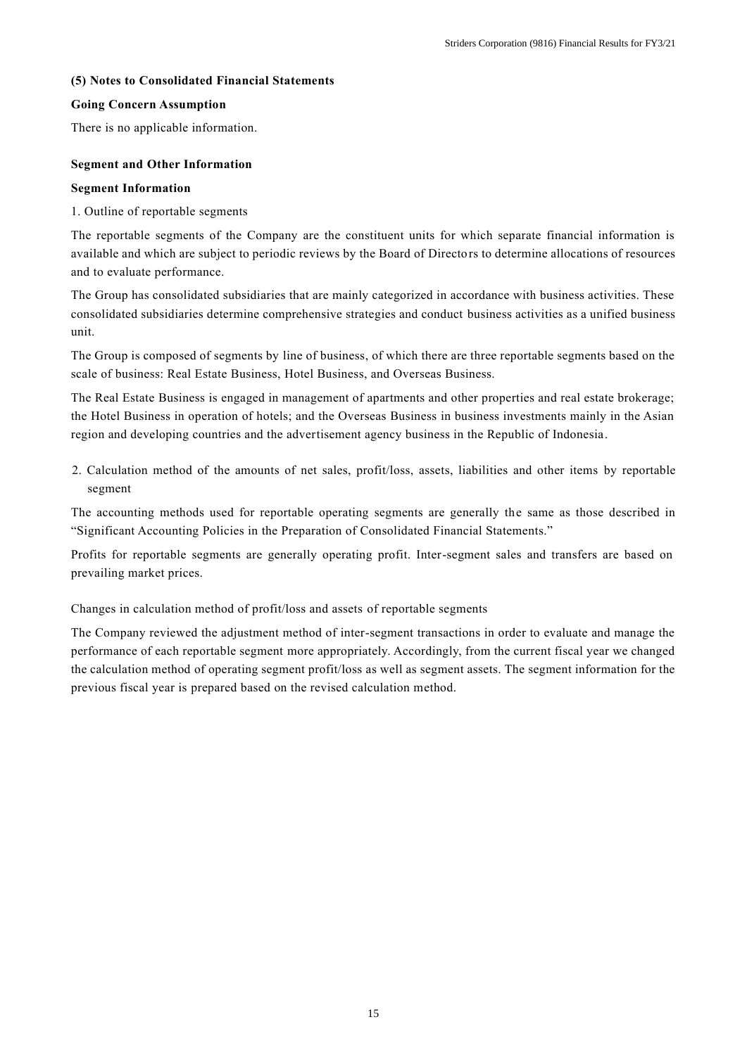# **(5) Notes to Consolidated Financial Statements**

# **Going Concern Assumption**

There is no applicable information.

# **Segment and Other Information**

## **Segment Information**

1. Outline of reportable segments

The reportable segments of the Company are the constituent units for which separate financial information is available and which are subject to periodic reviews by the Board of Directors to determine allocations of resources and to evaluate performance.

The Group has consolidated subsidiaries that are mainly categorized in accordance with business activities. These consolidated subsidiaries determine comprehensive strategies and conduct business activities as a unified business unit.

The Group is composed of segments by line of business, of which there are three reportable segments based on the scale of business: Real Estate Business, Hotel Business, and Overseas Business.

The Real Estate Business is engaged in management of apartments and other properties and real estate brokerage; the Hotel Business in operation of hotels; and the Overseas Business in business investments mainly in the Asian region and developing countries and the advertisement agency business in the Republic of Indonesia.

2. Calculation method of the amounts of net sales, profit/loss, assets, liabilities and other items by reportable segment

The accounting methods used for reportable operating segments are generally the same as those described in "Significant Accounting Policies in the Preparation of Consolidated Financial Statements."

Profits for reportable segments are generally operating profit. Inter-segment sales and transfers are based on prevailing market prices.

Changes in calculation method of profit/loss and assets of reportable segments

The Company reviewed the adjustment method of inter-segment transactions in order to evaluate and manage the performance of each reportable segment more appropriately. Accordingly, from the current fiscal year we changed the calculation method of operating segment profit/loss as well as segment assets. The segment information for the previous fiscal year is prepared based on the revised calculation method.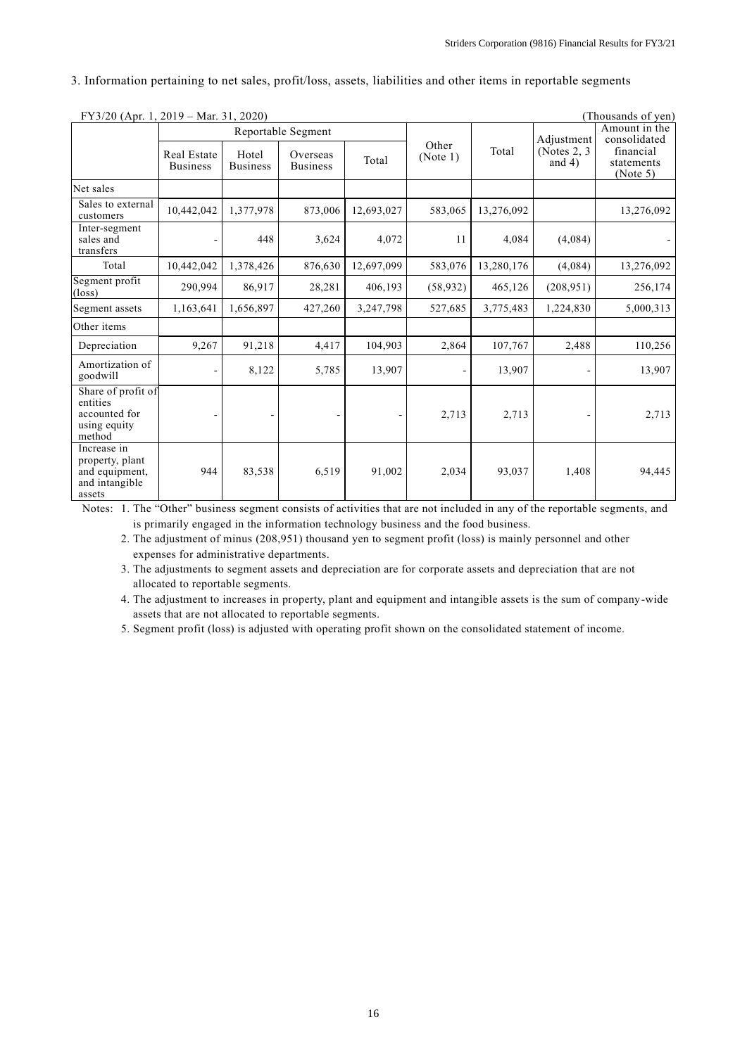3. Information pertaining to net sales, profit/loss, assets, liabilities and other items in reportable segments

| FY3/20 (Apr. 1, 2019 – Mar. 31, 2020)                                        |                                |                          |                             |            | (Thousands of yen) |            |                             |                                     |
|------------------------------------------------------------------------------|--------------------------------|--------------------------|-----------------------------|------------|--------------------|------------|-----------------------------|-------------------------------------|
|                                                                              | Reportable Segment             |                          |                             |            |                    |            | Adjustment                  | Amount in the<br>consolidated       |
|                                                                              | Real Estate<br><b>Business</b> | Hotel<br><b>Business</b> | Overseas<br><b>Business</b> | Total      | Other<br>(Note 1)  | Total      | (Notes $2, 3$ )<br>and $4)$ | financial<br>statements<br>(Note 5) |
| Net sales                                                                    |                                |                          |                             |            |                    |            |                             |                                     |
| Sales to external<br>customers                                               | 10,442,042                     | 1,377,978                | 873,006                     | 12,693,027 | 583,065            | 13,276,092 |                             | 13,276,092                          |
| Inter-segment<br>sales and<br>transfers                                      |                                | 448                      | 3,624                       | 4,072      | 11                 | 4,084      | (4,084)                     |                                     |
| Total                                                                        | 10,442,042                     | 1,378,426                | 876,630                     | 12,697,099 | 583,076            | 13,280,176 | (4,084)                     | 13,276,092                          |
| Segment profit<br>$(\text{loss})$                                            | 290,994                        | 86,917                   | 28,281                      | 406,193    | (58, 932)          | 465,126    | (208, 951)                  | 256,174                             |
| Segment assets                                                               | 1,163,641                      | 1,656,897                | 427,260                     | 3,247,798  | 527,685            | 3,775,483  | 1,224,830                   | 5,000,313                           |
| Other items                                                                  |                                |                          |                             |            |                    |            |                             |                                     |
| Depreciation                                                                 | 9,267                          | 91,218                   | 4,417                       | 104,903    | 2,864              | 107,767    | 2,488                       | 110,256                             |
| Amortization of<br>goodwill                                                  |                                | 8,122                    | 5,785                       | 13,907     |                    | 13,907     |                             | 13,907                              |
| Share of profit of<br>entities<br>accounted for<br>using equity<br>method    |                                |                          |                             |            | 2,713              | 2,713      |                             | 2,713                               |
| Increase in<br>property, plant<br>and equipment,<br>and intangible<br>assets | 944                            | 83,538                   | 6,519                       | 91,002     | 2,034              | 93,037     | 1,408                       | 94,445                              |

 $FY3/20 (A - 1, 2010, M - 31, 2020)$  (Thousands of yen)

Notes: 1. The "Other" business segment consists of activities that are not included in any of the reportable segments, and is primarily engaged in the information technology business and the food business.

2. The adjustment of minus (208,951) thousand yen to segment profit (loss) is mainly personnel and other expenses for administrative departments.

3. The adjustments to segment assets and depreciation are for corporate assets and depreciation that are not allocated to reportable segments.

4. The adjustment to increases in property, plant and equipment and intangible assets is the sum of company-wide assets that are not allocated to reportable segments.

5. Segment profit (loss) is adjusted with operating profit shown on the consolidated statement of income.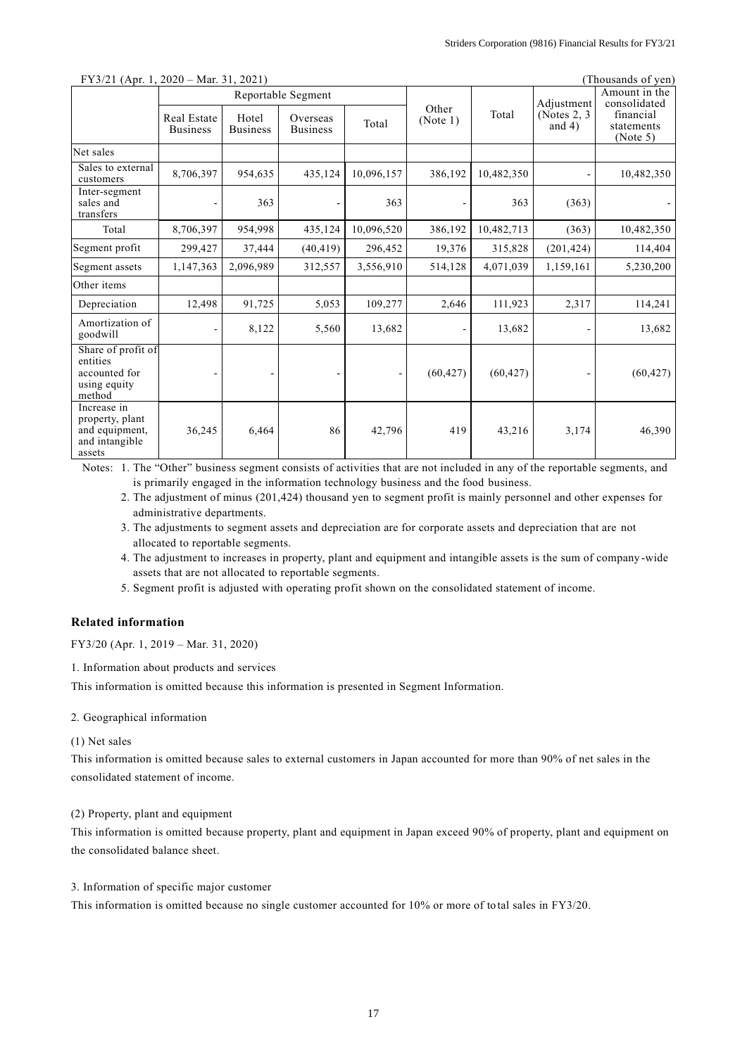| $\Gamma$ 13/21 (Apr. 1, 2020 – Mai. 31, 2021)                                |                                |                          |                             |            |                   |            | THOUSALUS OF YELL             |                                     |
|------------------------------------------------------------------------------|--------------------------------|--------------------------|-----------------------------|------------|-------------------|------------|-------------------------------|-------------------------------------|
|                                                                              | Reportable Segment             |                          |                             |            |                   | Adjustment | Amount in the<br>consolidated |                                     |
|                                                                              | Real Estate<br><b>Business</b> | Hotel<br><b>Business</b> | Overseas<br><b>Business</b> | Total      | Other<br>(Note 1) | Total      | (Notes $2, 3$ )<br>and $4)$   | financial<br>statements<br>(Note 5) |
| Net sales                                                                    |                                |                          |                             |            |                   |            |                               |                                     |
| Sales to external<br>customers                                               | 8,706,397                      | 954,635                  | 435,124                     | 10,096,157 | 386,192           | 10,482,350 |                               | 10,482,350                          |
| Inter-segment<br>sales and<br>transfers                                      |                                | 363                      |                             | 363        |                   | 363        | (363)                         |                                     |
| Total                                                                        | 8,706,397                      | 954,998                  | 435,124                     | 10,096,520 | 386,192           | 10,482,713 | (363)                         | 10,482,350                          |
| Segment profit                                                               | 299,427                        | 37,444                   | (40, 419)                   | 296,452    | 19,376            | 315,828    | (201, 424)                    | 114,404                             |
| Segment assets                                                               | 1,147,363                      | 2,096,989                | 312,557                     | 3,556,910  | 514,128           | 4,071,039  | 1,159,161                     | 5,230,200                           |
| Other items                                                                  |                                |                          |                             |            |                   |            |                               |                                     |
| Depreciation                                                                 | 12,498                         | 91,725                   | 5,053                       | 109,277    | 2,646             | 111,923    | 2,317                         | 114,241                             |
| Amortization of<br>goodwill                                                  |                                | 8,122                    | 5,560                       | 13,682     |                   | 13,682     |                               | 13,682                              |
| Share of profit of<br>entities<br>accounted for<br>using equity<br>method    |                                |                          |                             |            | (60, 427)         | (60, 427)  |                               | (60, 427)                           |
| Increase in<br>property, plant<br>and equipment,<br>and intangible<br>assets | 36,245                         | 6,464                    | 86                          | 42,796     | 419               | 43,216     | 3,174                         | 46,390                              |

## $\text{FY3/21 (Anr 1, 2020 - Mar 31, 2021)}$  (Thousands of yen)

Notes: 1. The "Other" business segment consists of activities that are not included in any of the reportable segments, and is primarily engaged in the information technology business and the food business.

2. The adjustment of minus (201,424) thousand yen to segment profit is mainly personnel and other expenses for administrative departments.

3. The adjustments to segment assets and depreciation are for corporate assets and depreciation that are not allocated to reportable segments.

4. The adjustment to increases in property, plant and equipment and intangible assets is the sum of company -wide assets that are not allocated to reportable segments.

5. Segment profit is adjusted with operating profit shown on the consolidated statement of income.

### **Related information**

FY3/20 (Apr. 1, 2019 – Mar. 31, 2020)

1. Information about products and services

This information is omitted because this information is presented in Segment Information.

2. Geographical information

#### (1) Net sales

This information is omitted because sales to external customers in Japan accounted for more than 90% of net sales in the consolidated statement of income.

(2) Property, plant and equipment

This information is omitted because property, plant and equipment in Japan exceed 90% of property, plant and equipment on the consolidated balance sheet.

3. Information of specific major customer

This information is omitted because no single customer accounted for 10% or more of to tal sales in FY3/20.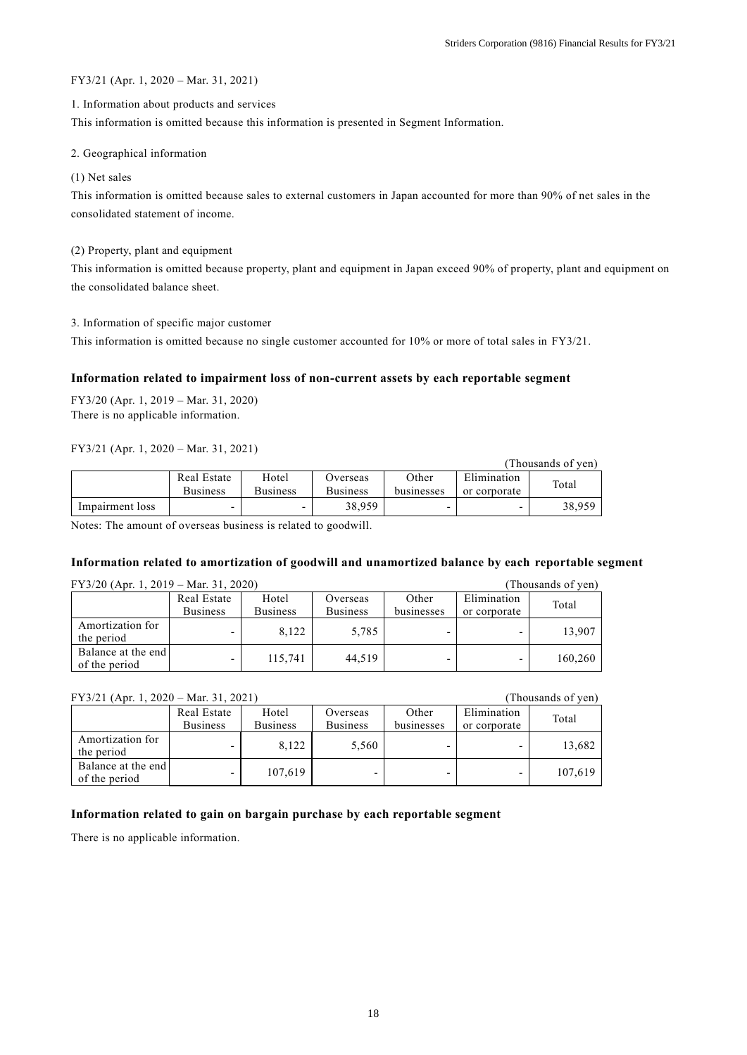### FY3/21 (Apr. 1, 2020 – Mar. 31, 2021)

### 1. Information about products and services

This information is omitted because this information is presented in Segment Information.

### 2. Geographical information

### (1) Net sales

This information is omitted because sales to external customers in Japan accounted for more than 90% of net sales in the consolidated statement of income.

### (2) Property, plant and equipment

This information is omitted because property, plant and equipment in Japan exceed 90% of property, plant and equipment on the consolidated balance sheet.

### 3. Information of specific major customer

This information is omitted because no single customer accounted for 10% or more of total sales in FY3/21.

## **Information related to impairment loss of non-current assets by each reportable segment**

FY3/20 (Apr. 1, 2019 – Mar. 31, 2020) There is no applicable information.

### FY3/21 (Apr. 1, 2020 – Mar. 31, 2021)

|                 |                 |                 |                 |            |              | (Thousands of ven) |
|-----------------|-----------------|-----------------|-----------------|------------|--------------|--------------------|
|                 | Real Estate     | Hotel           | Overseas        | Other      | Elimination  | Total              |
|                 | <b>Business</b> | <b>Business</b> | <b>Business</b> | businesses | or corporate |                    |
| Impairment loss |                 |                 | 38,959          |            | -            | 38,959             |

Notes: The amount of overseas business is related to goodwill.

### **Information related to amortization of goodwill and unamortized balance by each reportable segment**

| $FY3/20$ (Apr. 1, 2019 – Mar. 31, 2020) |                                | (Thousands of yen)       |                             |                     |                             |         |
|-----------------------------------------|--------------------------------|--------------------------|-----------------------------|---------------------|-----------------------------|---------|
|                                         | Real Estate<br><b>Business</b> | Hotel<br><b>Business</b> | Overseas<br><b>Business</b> | Other<br>businesses | Elimination<br>or corporate | Total   |
| Amortization for<br>the period          |                                | 8.122                    | 5.785                       |                     |                             | 13.907  |
| Balance at the end<br>of the period     |                                | 115.741                  | 44.519                      |                     | -                           | 160,260 |

## FY3/21 (Apr. 1, 2020 – Mar. 31, 2021) (Thousands of yen)

|                                     | Real Estate     | Hotel           | Overseas        | Other      | Elimination  | Total   |
|-------------------------------------|-----------------|-----------------|-----------------|------------|--------------|---------|
|                                     | <b>Business</b> | <b>Business</b> | <b>Business</b> | businesses | or corporate |         |
| Amortization for<br>the period      |                 | 8.122           | 5.560           |            |              | 13,682  |
| Balance at the end<br>of the period | -               | 107,619         |                 |            |              | 107.619 |

## **Information related to gain on bargain purchase by each reportable segment**

There is no applicable information.